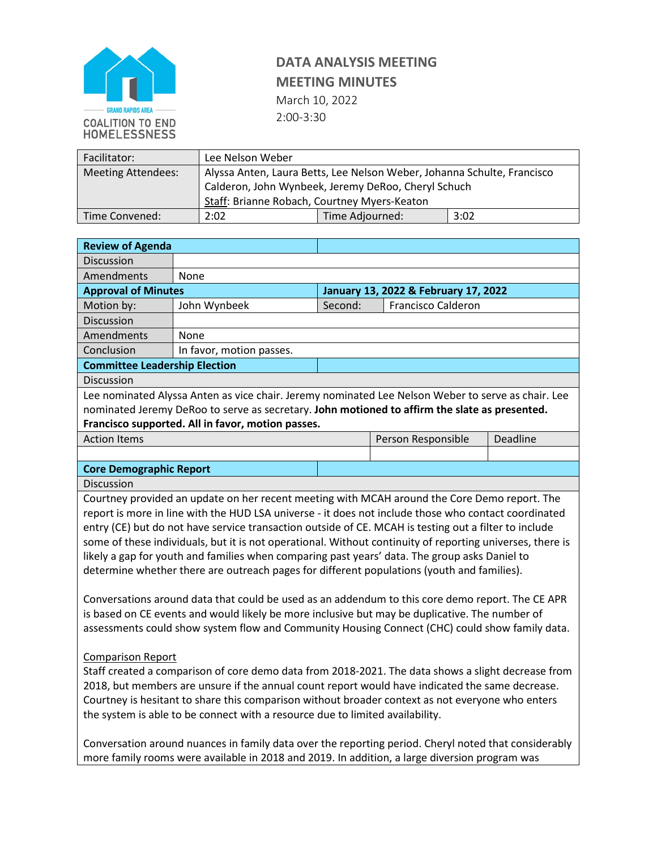

# **DATA ANALYSIS MEETING**

### **MEETING MINUTES**

March 10, 2022

2:00-3:30

| Facilitator:              | Lee Nelson Weber                                                                                                                                                               |                 |      |  |
|---------------------------|--------------------------------------------------------------------------------------------------------------------------------------------------------------------------------|-----------------|------|--|
| <b>Meeting Attendees:</b> | Alyssa Anten, Laura Betts, Lee Nelson Weber, Johanna Schulte, Francisco<br>Calderon, John Wynbeek, Jeremy DeRoo, Cheryl Schuch<br>Staff: Brianne Robach, Courtney Myers-Keaton |                 |      |  |
| Time Convened:            | 2:02                                                                                                                                                                           | Time Adjourned: | 3:02 |  |

| <b>Review of Agenda</b>                                                                              |                                                                                                           |                                      |                    |          |  |
|------------------------------------------------------------------------------------------------------|-----------------------------------------------------------------------------------------------------------|--------------------------------------|--------------------|----------|--|
| <b>Discussion</b>                                                                                    |                                                                                                           |                                      |                    |          |  |
| Amendments                                                                                           | None                                                                                                      |                                      |                    |          |  |
| <b>Approval of Minutes</b>                                                                           |                                                                                                           | January 13, 2022 & February 17, 2022 |                    |          |  |
| Motion by:                                                                                           | John Wynbeek                                                                                              | Second:                              | Francisco Calderon |          |  |
| Discussion                                                                                           |                                                                                                           |                                      |                    |          |  |
| Amendments                                                                                           | None                                                                                                      |                                      |                    |          |  |
| Conclusion                                                                                           | In favor, motion passes.                                                                                  |                                      |                    |          |  |
| <b>Committee Leadership Election</b>                                                                 |                                                                                                           |                                      |                    |          |  |
| Discussion                                                                                           |                                                                                                           |                                      |                    |          |  |
|                                                                                                      | Lee nominated Alyssa Anten as vice chair. Jeremy nominated Lee Nelson Weber to serve as chair. Lee        |                                      |                    |          |  |
|                                                                                                      | nominated Jeremy DeRoo to serve as secretary. John motioned to affirm the slate as presented.             |                                      |                    |          |  |
|                                                                                                      | Francisco supported. All in favor, motion passes.                                                         |                                      |                    |          |  |
| <b>Action Items</b>                                                                                  |                                                                                                           |                                      | Person Responsible | Deadline |  |
|                                                                                                      |                                                                                                           |                                      |                    |          |  |
| <b>Core Demographic Report</b>                                                                       |                                                                                                           |                                      |                    |          |  |
| Discussion                                                                                           |                                                                                                           |                                      |                    |          |  |
|                                                                                                      | Courtney provided an update on her recent meeting with MCAH around the Core Demo report. The              |                                      |                    |          |  |
|                                                                                                      | report is more in line with the HUD LSA universe - it does not include those who contact coordinated      |                                      |                    |          |  |
|                                                                                                      | entry (CE) but do not have service transaction outside of CE. MCAH is testing out a filter to include     |                                      |                    |          |  |
|                                                                                                      | some of these individuals, but it is not operational. Without continuity of reporting universes, there is |                                      |                    |          |  |
|                                                                                                      | likely a gap for youth and families when comparing past years' data. The group asks Daniel to             |                                      |                    |          |  |
|                                                                                                      | determine whether there are outreach pages for different populations (youth and families).                |                                      |                    |          |  |
|                                                                                                      |                                                                                                           |                                      |                    |          |  |
|                                                                                                      | Conversations around data that could be used as an addendum to this core demo report. The CE APR          |                                      |                    |          |  |
| is based on CE events and would likely be more inclusive but may be duplicative. The number of       |                                                                                                           |                                      |                    |          |  |
| assessments could show system flow and Community Housing Connect (CHC) could show family data.       |                                                                                                           |                                      |                    |          |  |
|                                                                                                      |                                                                                                           |                                      |                    |          |  |
| <b>Comparison Report</b>                                                                             |                                                                                                           |                                      |                    |          |  |
| Staff created a comparison of core demo data from 2018-2021. The data shows a slight decrease from   |                                                                                                           |                                      |                    |          |  |
| 2018, but members are unsure if the annual count report would have indicated the same decrease.      |                                                                                                           |                                      |                    |          |  |
| Courtney is hesitant to share this comparison without broader context as not everyone who enters     |                                                                                                           |                                      |                    |          |  |
| the system is able to be connect with a resource due to limited availability.                        |                                                                                                           |                                      |                    |          |  |
|                                                                                                      |                                                                                                           |                                      |                    |          |  |
| Conversation around nuances in family data over the reporting period. Cheryl noted that considerably |                                                                                                           |                                      |                    |          |  |
| more family rooms were available in 2018 and 2019. In addition, a large diversion program was        |                                                                                                           |                                      |                    |          |  |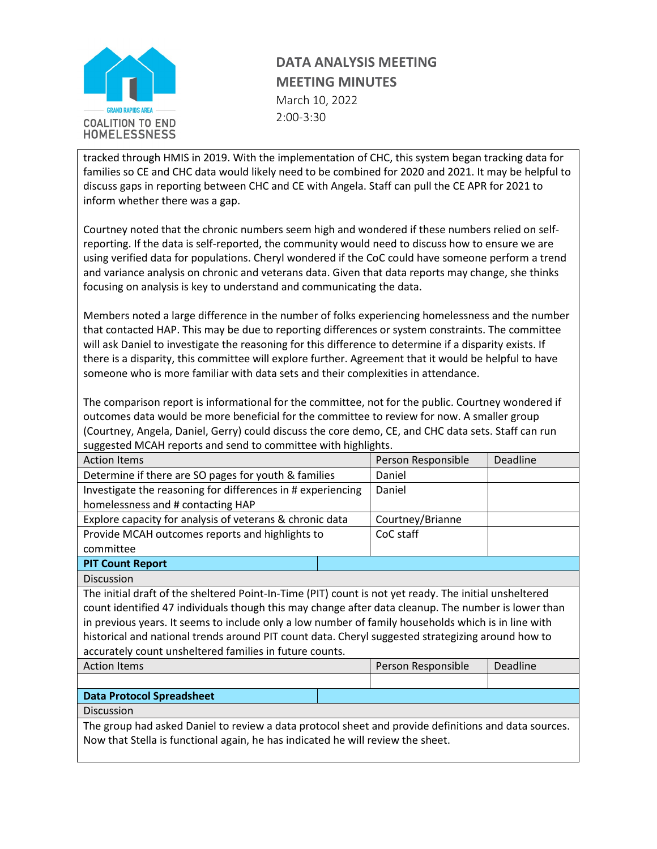

## **DATA ANALYSIS MEETING MEETING MINUTES**

March 10, 2022 2:00-3:30

tracked through HMIS in 2019. With the implementation of CHC, this system began tracking data for families so CE and CHC data would likely need to be combined for 2020 and 2021. It may be helpful to discuss gaps in reporting between CHC and CE with Angela. Staff can pull the CE APR for 2021 to inform whether there was a gap.

Courtney noted that the chronic numbers seem high and wondered if these numbers relied on selfreporting. If the data is self-reported, the community would need to discuss how to ensure we are using verified data for populations. Cheryl wondered if the CoC could have someone perform a trend and variance analysis on chronic and veterans data. Given that data reports may change, she thinks focusing on analysis is key to understand and communicating the data.

Members noted a large difference in the number of folks experiencing homelessness and the number that contacted HAP. This may be due to reporting differences or system constraints. The committee will ask Daniel to investigate the reasoning for this difference to determine if a disparity exists. If there is a disparity, this committee will explore further. Agreement that it would be helpful to have someone who is more familiar with data sets and their complexities in attendance.

The comparison report is informational for the committee, not for the public. Courtney wondered if outcomes data would be more beneficial for the committee to review for now. A smaller group (Courtney, Angela, Daniel, Gerry) could discuss the core demo, CE, and CHC data sets. Staff can run suggested MCAH reports and send to committee with highlights.

| <b>Action Items</b>                                                                                    |  | Person Responsible | Deadline |  |  |
|--------------------------------------------------------------------------------------------------------|--|--------------------|----------|--|--|
| Determine if there are SO pages for youth & families                                                   |  | Daniel             |          |  |  |
| Investigate the reasoning for differences in # experiencing                                            |  | Daniel             |          |  |  |
| homelessness and # contacting HAP                                                                      |  |                    |          |  |  |
| Explore capacity for analysis of veterans & chronic data                                               |  | Courtney/Brianne   |          |  |  |
| Provide MCAH outcomes reports and highlights to                                                        |  | CoC staff          |          |  |  |
| committee                                                                                              |  |                    |          |  |  |
| <b>PIT Count Report</b>                                                                                |  |                    |          |  |  |
| <b>Discussion</b>                                                                                      |  |                    |          |  |  |
| The initial draft of the sheltered Point-In-Time (PIT) count is not yet ready. The initial unsheltered |  |                    |          |  |  |
| count identified 47 individuals though this may change after data cleanup. The number is lower than    |  |                    |          |  |  |
| in previous years. It seems to include only a low number of family households which is in line with    |  |                    |          |  |  |
| historical and national trends around PIT count data. Cheryl suggested strategizing around how to      |  |                    |          |  |  |
| accurately count unsheltered families in future counts.                                                |  |                    |          |  |  |
| <b>Action Items</b>                                                                                    |  | Person Responsible | Deadline |  |  |
|                                                                                                        |  |                    |          |  |  |
| <b>Data Protocol Spreadsheet</b>                                                                       |  |                    |          |  |  |
| <b>Discussion</b>                                                                                      |  |                    |          |  |  |
| The group had asked Daniel to review a data protocol sheet and provide definitions and data sources.   |  |                    |          |  |  |
| Now that Stella is functional again, he has indicated he will review the sheet.                        |  |                    |          |  |  |